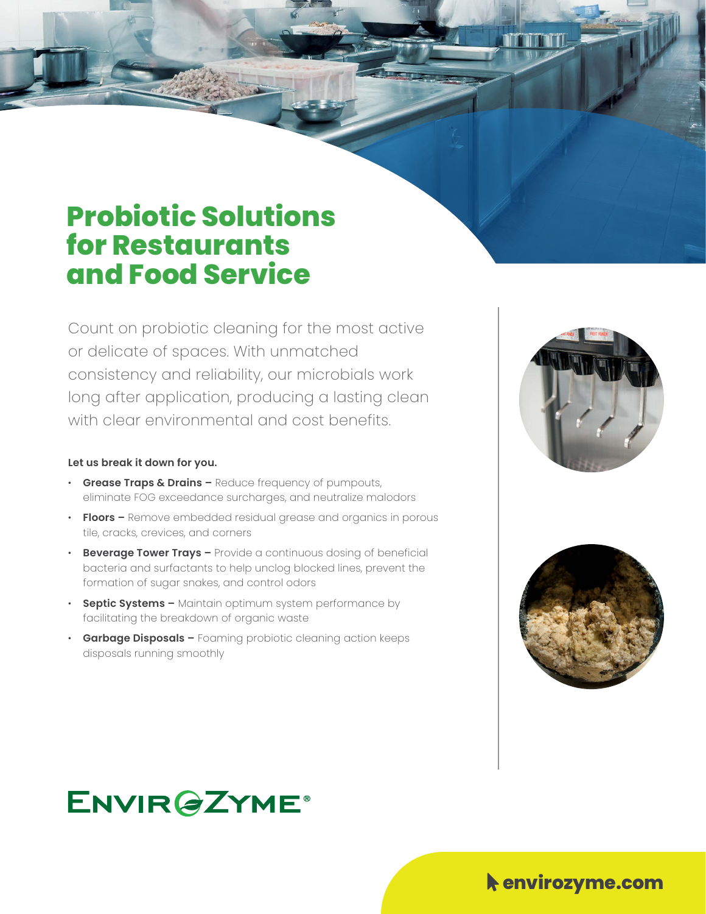### **Probiotic Solutions for Restaurants and Food Service**

Count on probiotic cleaning for the most active or delicate of spaces. With unmatched consistency and reliability, our microbials work long after application, producing a lasting clean with clear environmental and cost benefits.

#### **Let us break it down for you.**

- **Grease Traps & Drains –** Reduce frequency of pumpouts, eliminate FOG exceedance surcharges, and neutralize malodors
- **Floors –** Remove embedded residual grease and organics in porous tile, cracks, crevices, and corners
- **Beverage Tower Trays –** Provide a continuous dosing of beneficial bacteria and surfactants to help unclog blocked lines, prevent the formation of sugar snakes, and control odors
- **Septic Systems –** Maintain optimum system performance by facilitating the breakdown of organic waste
- **Garbage Disposals –** Foaming probiotic cleaning action keeps disposals running smoothly





## **ENVIR@ZYME®**

#### $\blacklozenge$  envirozyme.com